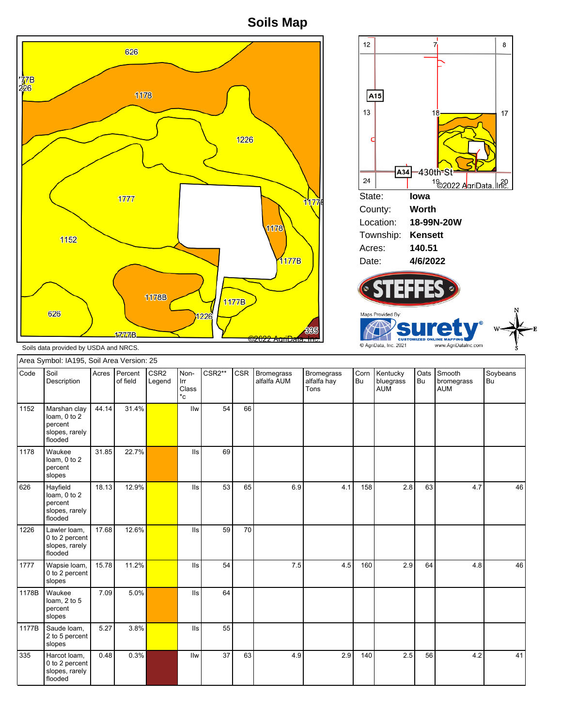**Soils Map**



2 to 5 percent slopes 335 Harcot loam, 0 to 2 percent slopes, rarely flooded 0.48 0.3% IIw 37 63 4.9 2.9 140 2.5 56 4.2 41